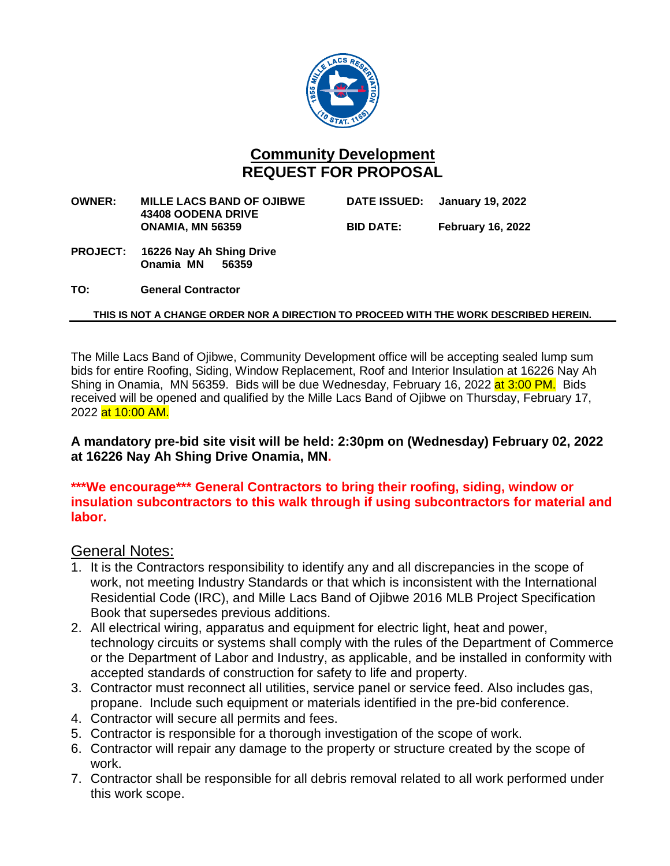

# **Community Development REQUEST FOR PROPOSAL**

**OWNER: MILLE LACS BAND OF OJIBWE DATE ISSUED: January 19, 2022 43408 OODENA DRIVE ONAMIA, MN 56359 BID DATE: February 16, 2022**

- **PROJECT: 16226 Nay Ah Shing Drive Onamia MN**
- **TO: General Contractor**

## **THIS IS NOT A CHANGE ORDER NOR A DIRECTION TO PROCEED WITH THE WORK DESCRIBED HEREIN.**

The Mille Lacs Band of Ojibwe, Community Development office will be accepting sealed lump sum bids for entire Roofing, Siding, Window Replacement, Roof and Interior Insulation at 16226 Nay Ah Shing in Onamia, MN 56359. Bids will be due Wednesday, February 16, 2022 at 3:00 PM. Bids received will be opened and qualified by the Mille Lacs Band of Ojibwe on Thursday, February 17, 2022 at 10:00 AM.

**A mandatory pre-bid site visit will be held: 2:30pm on (Wednesday) February 02, 2022 at 16226 Nay Ah Shing Drive Onamia, MN.** 

## **\*\*\*We encourage\*\*\* General Contractors to bring their roofing, siding, window or insulation subcontractors to this walk through if using subcontractors for material and labor.**

## General Notes:

- 1. It is the Contractors responsibility to identify any and all discrepancies in the scope of work, not meeting Industry Standards or that which is inconsistent with the International Residential Code (IRC), and Mille Lacs Band of Ojibwe 2016 MLB Project Specification Book that supersedes previous additions.
- 2. All electrical wiring, apparatus and equipment for electric light, heat and power, technology circuits or systems shall comply with the rules of the Department of Commerce or the Department of Labor and Industry, as applicable, and be installed in conformity with accepted standards of construction for safety to life and property.
- 3. Contractor must reconnect all utilities, service panel or service feed. Also includes gas, propane. Include such equipment or materials identified in the pre-bid conference.
- 4. Contractor will secure all permits and fees.
- 5. Contractor is responsible for a thorough investigation of the scope of work.
- 6. Contractor will repair any damage to the property or structure created by the scope of work.
- 7. Contractor shall be responsible for all debris removal related to all work performed under this work scope.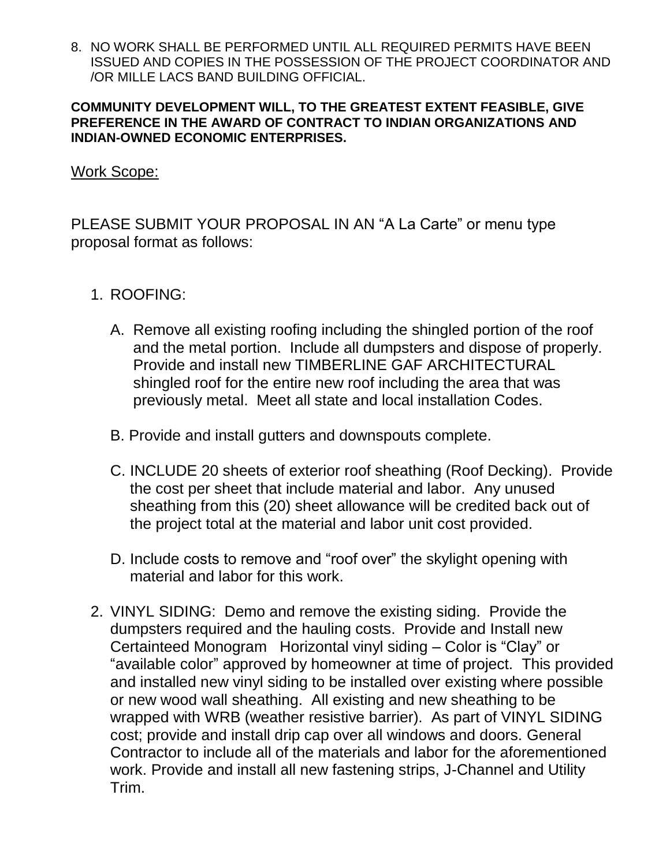8. NO WORK SHALL BE PERFORMED UNTIL ALL REQUIRED PERMITS HAVE BEEN ISSUED AND COPIES IN THE POSSESSION OF THE PROJECT COORDINATOR AND /OR MILLE LACS BAND BUILDING OFFICIAL.

## **COMMUNITY DEVELOPMENT WILL, TO THE GREATEST EXTENT FEASIBLE, GIVE PREFERENCE IN THE AWARD OF CONTRACT TO INDIAN ORGANIZATIONS AND INDIAN-OWNED ECONOMIC ENTERPRISES.**

# Work Scope:

PLEASE SUBMIT YOUR PROPOSAL IN AN "A La Carte" or menu type proposal format as follows:

- 1. ROOFING:
	- A. Remove all existing roofing including the shingled portion of the roof and the metal portion. Include all dumpsters and dispose of properly. Provide and install new TIMBERLINE GAF ARCHITECTURAL shingled roof for the entire new roof including the area that was previously metal. Meet all state and local installation Codes.
	- B. Provide and install gutters and downspouts complete.
	- C. INCLUDE 20 sheets of exterior roof sheathing (Roof Decking). Provide the cost per sheet that include material and labor. Any unused sheathing from this (20) sheet allowance will be credited back out of the project total at the material and labor unit cost provided.
	- D. Include costs to remove and "roof over" the skylight opening with material and labor for this work.
- 2. VINYL SIDING: Demo and remove the existing siding. Provide the dumpsters required and the hauling costs. Provide and Install new Certainteed Monogram Horizontal vinyl siding – Color is "Clay" or "available color" approved by homeowner at time of project. This provided and installed new vinyl siding to be installed over existing where possible or new wood wall sheathing. All existing and new sheathing to be wrapped with WRB (weather resistive barrier). As part of VINYL SIDING cost; provide and install drip cap over all windows and doors. General Contractor to include all of the materials and labor for the aforementioned work. Provide and install all new fastening strips, J-Channel and Utility Trim.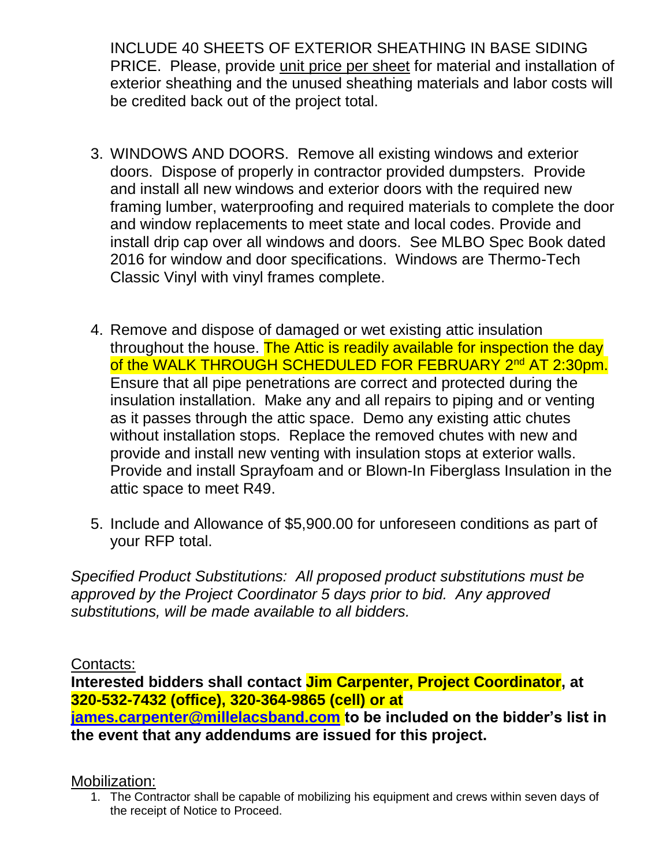INCLUDE 40 SHEETS OF EXTERIOR SHEATHING IN BASE SIDING PRICE. Please, provide unit price per sheet for material and installation of exterior sheathing and the unused sheathing materials and labor costs will be credited back out of the project total.

- 3. WINDOWS AND DOORS. Remove all existing windows and exterior doors. Dispose of properly in contractor provided dumpsters. Provide and install all new windows and exterior doors with the required new framing lumber, waterproofing and required materials to complete the door and window replacements to meet state and local codes. Provide and install drip cap over all windows and doors. See MLBO Spec Book dated 2016 for window and door specifications. Windows are Thermo-Tech Classic Vinyl with vinyl frames complete.
- 4. Remove and dispose of damaged or wet existing attic insulation throughout the house. The Attic is readily available for inspection the day of the WALK THROUGH SCHEDULED FOR FEBRUARY 2<sup>nd</sup> AT 2:30pm. Ensure that all pipe penetrations are correct and protected during the insulation installation. Make any and all repairs to piping and or venting as it passes through the attic space. Demo any existing attic chutes without installation stops. Replace the removed chutes with new and provide and install new venting with insulation stops at exterior walls. Provide and install Sprayfoam and or Blown-In Fiberglass Insulation in the attic space to meet R49.
- 5. Include and Allowance of \$5,900.00 for unforeseen conditions as part of your RFP total.

*Specified Product Substitutions: All proposed product substitutions must be approved by the Project Coordinator 5 days prior to bid. Any approved substitutions, will be made available to all bidders.*

Contacts:

**Interested bidders shall contact Jim Carpenter, Project Coordinator, at 320-532-7432 (office), 320-364-9865 (cell) or at [james.carpenter@millelacsband.com](mailto:james.carpenter@millelacsband.com) to be included on the bidder's list in the event that any addendums are issued for this project.**

Mobilization:

1. The Contractor shall be capable of mobilizing his equipment and crews within seven days of the receipt of Notice to Proceed.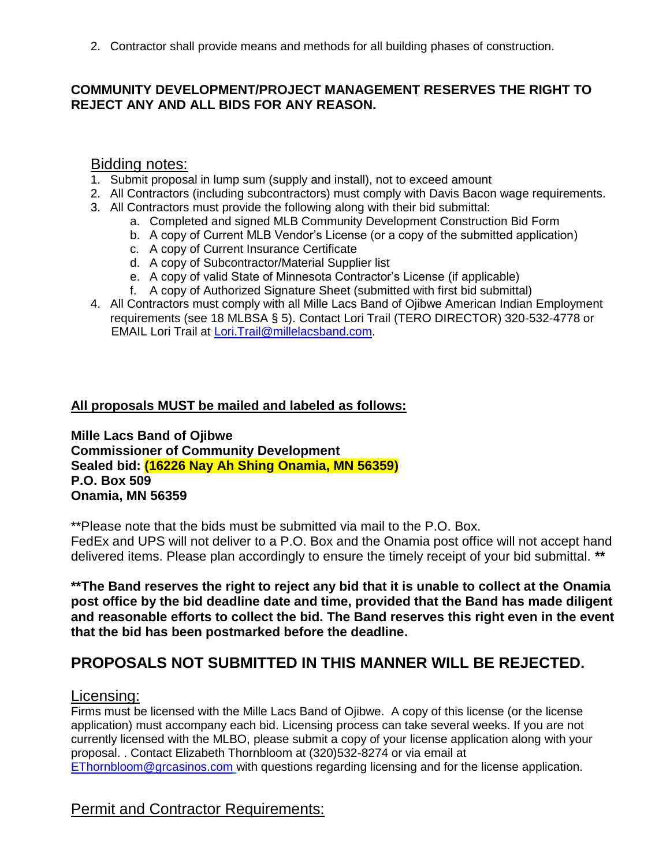2. Contractor shall provide means and methods for all building phases of construction.

## **COMMUNITY DEVELOPMENT/PROJECT MANAGEMENT RESERVES THE RIGHT TO REJECT ANY AND ALL BIDS FOR ANY REASON.**

## Bidding notes:

- 1. Submit proposal in lump sum (supply and install), not to exceed amount
- 2. All Contractors (including subcontractors) must comply with Davis Bacon wage requirements.
- 3. All Contractors must provide the following along with their bid submittal:
	- a. Completed and signed MLB Community Development Construction Bid Form
	- b. A copy of Current MLB Vendor's License (or a copy of the submitted application)
	- c. A copy of Current Insurance Certificate
	- d. A copy of Subcontractor/Material Supplier list
	- e. A copy of valid State of Minnesota Contractor's License (if applicable)
	- f. A copy of Authorized Signature Sheet (submitted with first bid submittal)
- 4. All Contractors must comply with all Mille Lacs Band of Ojibwe American Indian Employment requirements (see 18 MLBSA § 5). Contact Lori Trail (TERO DIRECTOR) 320-532-4778 or EMAIL Lori Trail at [Lori.Trail@millelacsband.com.](mailto:Lori.Trail@millelacsband.com)

## **All proposals MUST be mailed and labeled as follows:**

**Mille Lacs Band of Ojibwe Commissioner of Community Development Sealed bid: (16226 Nay Ah Shing Onamia, MN 56359) P.O. Box 509 Onamia, MN 56359**

\*\*Please note that the bids must be submitted via mail to the P.O. Box.

FedEx and UPS will not deliver to a P.O. Box and the Onamia post office will not accept hand delivered items. Please plan accordingly to ensure the timely receipt of your bid submittal. **\*\***

**\*\*The Band reserves the right to reject any bid that it is unable to collect at the Onamia post office by the bid deadline date and time, provided that the Band has made diligent and reasonable efforts to collect the bid. The Band reserves this right even in the event that the bid has been postmarked before the deadline.**

# **PROPOSALS NOT SUBMITTED IN THIS MANNER WILL BE REJECTED.**

## Licensing:

Firms must be licensed with the Mille Lacs Band of Ojibwe. A copy of this license (or the license application) must accompany each bid. Licensing process can take several weeks. If you are not currently licensed with the MLBO, please submit a copy of your license application along with your proposal. . Contact Elizabeth Thornbloom at (320)532-8274 or via email at [EThornbloom@grcasinos.com](mailto:EThornbloom@grcasinos.com) with questions regarding licensing and for the license application.

# Permit and Contractor Requirements: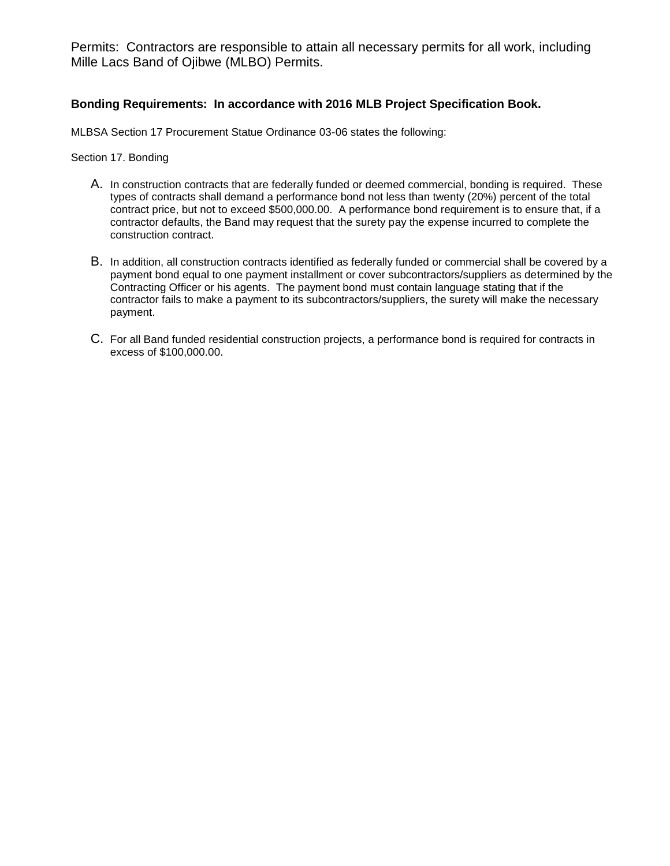Permits: Contractors are responsible to attain all necessary permits for all work, including Mille Lacs Band of Ojibwe (MLBO) Permits.

### **Bonding Requirements: In accordance with 2016 MLB Project Specification Book.**

MLBSA Section 17 Procurement Statue Ordinance 03-06 states the following:

Section 17. Bonding

- A. In construction contracts that are federally funded or deemed commercial, bonding is required. These types of contracts shall demand a performance bond not less than twenty (20%) percent of the total contract price, but not to exceed \$500,000.00. A performance bond requirement is to ensure that, if a contractor defaults, the Band may request that the surety pay the expense incurred to complete the construction contract.
- B. In addition, all construction contracts identified as federally funded or commercial shall be covered by a payment bond equal to one payment installment or cover subcontractors/suppliers as determined by the Contracting Officer or his agents. The payment bond must contain language stating that if the contractor fails to make a payment to its subcontractors/suppliers, the surety will make the necessary payment.
- C. For all Band funded residential construction projects, a performance bond is required for contracts in excess of \$100,000.00.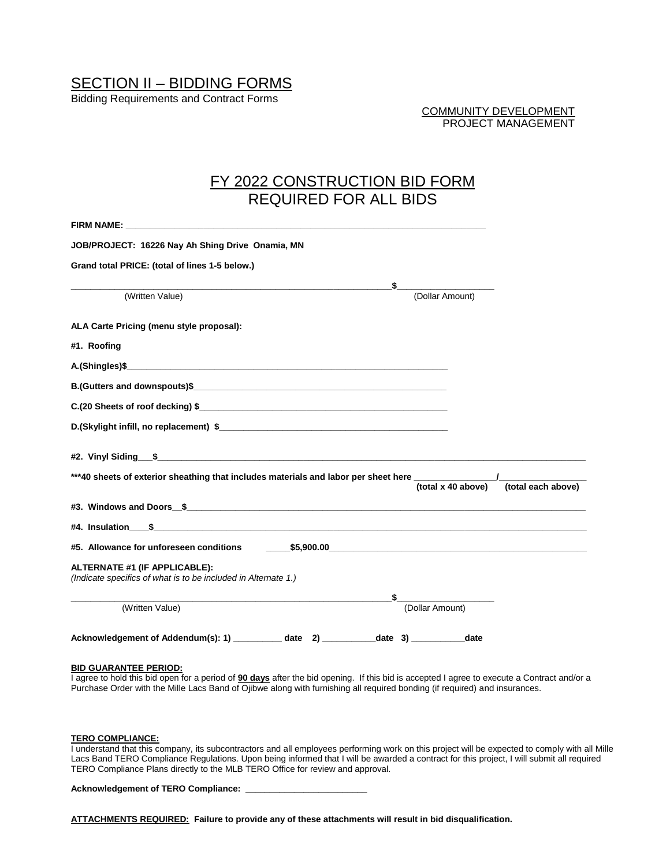# SECTION II – BIDDING FORMS

Bidding Requirements and Contract Forms

COMMUNITY DEVELOPMENT PROJECT MANAGEMENT

## FY 2022 CONSTRUCTION BID FORM REQUIRED FOR ALL BIDS

| FIRM NAME: The contract of the contract of the contract of the contract of the contract of the contract of the contract of the contract of the contract of the contract of the contract of the contract of the contract of the |                                          |
|--------------------------------------------------------------------------------------------------------------------------------------------------------------------------------------------------------------------------------|------------------------------------------|
| JOB/PROJECT: 16226 Nay Ah Shing Drive Onamia, MN                                                                                                                                                                               |                                          |
| Grand total PRICE: (total of lines 1-5 below.)                                                                                                                                                                                 |                                          |
| \$                                                                                                                                                                                                                             |                                          |
| (Written Value)                                                                                                                                                                                                                | (Dollar Amount)                          |
| ALA Carte Pricing (menu style proposal):                                                                                                                                                                                       |                                          |
| #1. Roofing                                                                                                                                                                                                                    |                                          |
|                                                                                                                                                                                                                                |                                          |
|                                                                                                                                                                                                                                |                                          |
|                                                                                                                                                                                                                                |                                          |
|                                                                                                                                                                                                                                |                                          |
| #2. Vinyl Siding \$<br>***40 sheets of exterior sheathing that includes materials and labor per sheet here _______________                                                                                                     |                                          |
|                                                                                                                                                                                                                                | (total each above)<br>(total x 40 above) |
|                                                                                                                                                                                                                                |                                          |
|                                                                                                                                                                                                                                |                                          |
| #5. Allowance for unforeseen conditions                                                                                                                                                                                        |                                          |
| ALTERNATE #1 (IF APPLICABLE):<br>(Indicate specifics of what is to be included in Alternate 1.)                                                                                                                                |                                          |
| (Written Value)                                                                                                                                                                                                                | (Dollar Amount)                          |
|                                                                                                                                                                                                                                |                                          |
| Acknowledgement of Addendum(s): 1) __________ date 2) __________ date 3) __________ date                                                                                                                                       |                                          |

### **BID GUARANTEE PERIOD:**

I agree to hold this bid open for a period of **90 days** after the bid opening. If this bid is accepted I agree to execute a Contract and/or a Purchase Order with the Mille Lacs Band of Ojibwe along with furnishing all required bonding (if required) and insurances.

#### **TERO COMPLIANCE:**

I understand that this company, its subcontractors and all employees performing work on this project will be expected to comply with all Mille Lacs Band TERO Compliance Regulations. Upon being informed that I will be awarded a contract for this project, I will submit all required TERO Compliance Plans directly to the MLB TERO Office for review and approval.

**Acknowledgement of TERO Compliance: \_\_\_\_\_\_\_\_\_\_\_\_\_\_\_\_\_\_\_\_\_\_\_\_\_**

**ATTACHMENTS REQUIRED: Failure to provide any of these attachments will result in bid disqualification.**